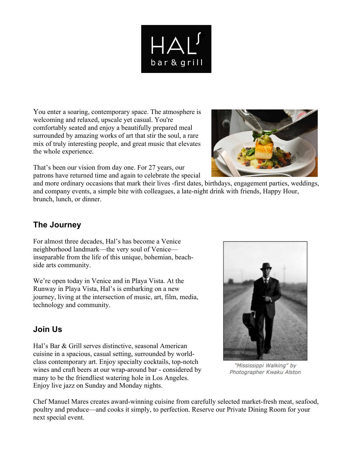

You enter a soaring, contemporary space. The atmosphere is welcoming and relaxed, upscale yet casual. You're comfortably seated and enjoy a beautifully prepared meal surrounded by amazing works of art that stir the soul, a rare mix of truly interesting people, and great music that elevates the whole experience.



That's been our vision from day one. For 27 years, our patrons have returned time and again to celebrate the special

and more ordinary occasions that mark their lives -first dates, birthdays, engagement parties, weddings, and company events, a simple bite with colleagues, a late-night drink with friends, Happy Hour, brunch, lunch, or dinner.

# **The Journey**

For almost three decades, Hal's has become a Venice neighborhood landmark—the very soul of Venice inseparable from the life of this unique, bohemian, beachside arts community.

We're open today in Venice and in Playa Vista. At the Runway in Playa Vista, Hal's is embarking on a new journey, living at the intersection of music, art, film, media, technology and community.

# **Join Us**

Hal's Bar & Grill serves distinctive, seasonal American cuisine in a spacious, casual setting, surrounded by worldclass contemporary art. Enjoy specialty cocktails, top-notch wines and craft beers at our wrap-around bar - considered by many to be the friendliest watering hole in Los Angeles. Enjoy live jazz on Sunday and Monday nights.



"Mississippi Walking" by Photographer Kwaku Alston

Chef Manuel Mares creates award-winning cuisine from carefully selected market-fresh meat, seafood, poultry and produce—and cooks it simply, to perfection. Reserve our Private Dining Room for your next special event.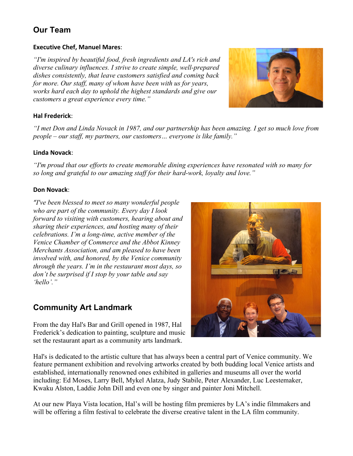# **Our Team**

## **Executive Chef, Manuel Mares:**

*"I'm inspired by beautiful food, fresh ingredients and LA's rich and diverse culinary influences. I strive to create simple, well-prepared dishes consistently, that leave customers satisfied and coming back for more. Our staff, many of whom have been with us for years, works hard each day to uphold the highest standards and give our customers a great experience every time."*

## **Hal Frederick**:

*"I met Don and Linda Novack in 1987, and our partnership has been amazing. I get so much love from people – our staff, my partners, our customers… everyone is like family."*

## **Linda Novack**:

*"I'm proud that our efforts to create memorable dining experiences have resonated with so many for so long and grateful to our amazing staff for their hard-work, loyalty and love."*

## **Don Novack**:

*"I've been blessed to meet so many wonderful people who are part of the community. Every day I look forward to visiting with customers, hearing about and sharing their experiences, and hosting many of their celebrations. I'm a long-time, active member of the Venice Chamber of Commerce and the Abbot Kinney Merchants Association, and am pleased to have been involved with, and honored, by the Venice community through the years. I'm in the restaurant most days, so don't be surprised if I stop by your table and say 'hello'."*

## **Community Art Landmark**

From the day Hal's Bar and Grill opened in 1987, Hal Frederick's dedication to painting, sculpture and music set the restaurant apart as a community arts landmark.



Hal's is dedicated to the artistic culture that has always been a central part of Venice community. We feature permanent exhibition and revolving artworks created by both budding local Venice artists and established, internationally renowned ones exhibited in galleries and museums all over the world including: Ed Moses, Larry Bell, Mykel Alatza, Judy Stabile, Peter Alexander, Luc Leestemaker, Kwaku Alston, Laddie John Dill and even one by singer and painter Joni Mitchell.

At our new Playa Vista location, Hal's will be hosting film premieres by LA's indie filmmakers and will be offering a film festival to celebrate the diverse creative talent in the LA film community.